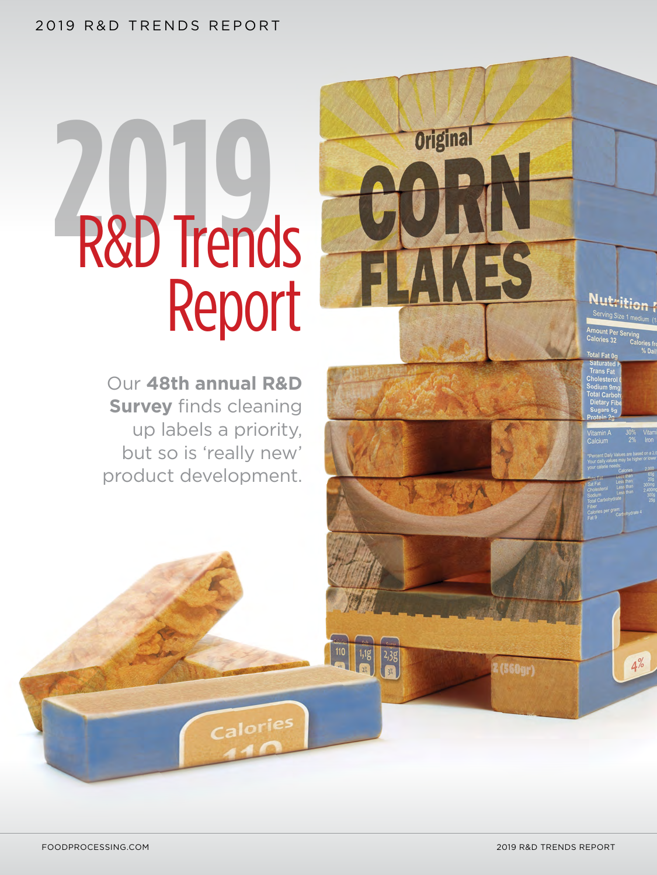# 2019 R&D TRENDS REPORT

# **2019** R&D Trends Report

Our **48th annual R&D Survey** finds cleaning up labels a priority, but so is 'really new' product development.

Calories

 $(560gr)$ 

Nutrition F

**Original**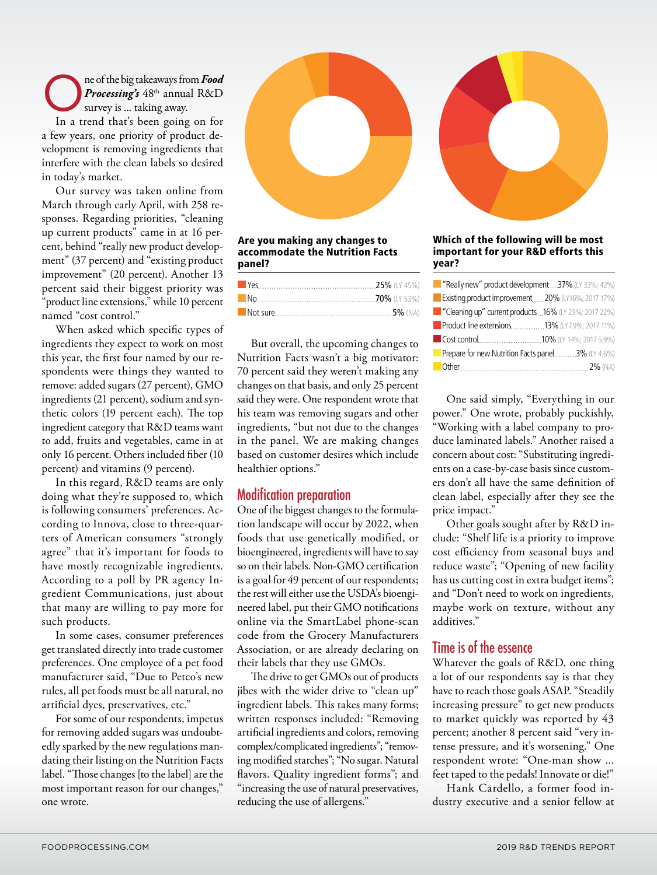The of the big takeaways from **Food**<br> **Processing's** 48<sup>th</sup> annual R&D<br>
survey is ... taking away. *Processing's* 48th annual R&D survey is ... taking away. In a trend that's been going on for a few years, one priority of product development is removing ingredients that interfere with the clean labels so desired in today's market.

Our survey was taken online from March through early April, with 258 responses. Regarding priorities, "cleaning up current products" came in at 16 percent, behind "really new product development" (37 percent) and "existing product improvement" (20 percent). Another 13 percent said their biggest priority was "product line extensions," while 10 percent named "cost control."

> When asked which specific types of ingredients they expect to work on most this year, the first four named by our respondents were things they wanted to remove: added sugars (27 percent), GMO ingredients (21 percent), sodium and synthetic colors (19 percent each). The top ingredient category that R&D teams want to add, fruits and vegetables, came in at only 16 percent. Others included fiber (10 percent) and vitamins (9 percent).

In this regard, R&D teams are only doing what they're supposed to, which is following consumers' preferences. According to Innova, close to three-quarters of American consumers "strongly agree" that it's important for foods to have mostly recognizable ingredients. According to a poll by PR agency Ingredient Communications, just about that many are willing to pay more for such products.

> In some cases, consumer preferences get translated directly into trade customer preferences. One employee of a pet food manufacturer said, "Due to Petco's new rules, all pet foods must be all natural, no artificial dyes, preservatives, etc."

For some of our respondents, impetus for removing added sugars was undoubtedly sparked by the new regulations mandating their listing on the Nutrition Facts label. "Those changes [to the label] are the most important reason for our changes," one wrote.



#### Are you making any changes to<br>essentive data the Nutrition Fort accommodate the Nutrition Facts<br>nanel? the Nutrition Facts panel 2014 panel?

But overall, the upcoming changes to Nutrition Facts wasn't a big motivator: 70 percent said they weren't making any changes on that basis, and only 25 percent said they were. One respondent wrote that his team was removing sugars and other ingredients, "but not due to the changes in the panel. We are making changes based on customer desires which include healthier options."

# Modification preparation

One of the biggest changes to the formulation landscape will occur by 2022, when foods that use genetically modified, or bioengineered, ingredients will have to say so on their labels. Non-GMO certification is a goal for 49 percent of our respondents; the rest will either use the USDA's bioengineered label, put their GMO notifications online via the SmartLabel phone-scan code from the Grocery Manufacturers Association, or are already declaring on their labels that they use GMOs.

The drive to get GMOs out of products jibes with the wider drive to "clean up" ingredient labels. This takes many forms; written responses included: "Removing artificial ingredients and colors, removing complex/complicated ingredients"; "removing modified starches"; "No sugar. Natural flavors. Quality ingredient forms"; and "increasing the use of natural preservatives, reducing the use of allergens."



#### Hell of the following will b<br>nortant for vour PRD offer important for your R&D efforts this<br>year? Which of the following will be most year?

| "Really new" product development37% (LY 33%; 42%)    |
|------------------------------------------------------|
| Existing product improvement20% (LY16%; 2017 17%)    |
| "Cleaning up" current products16% (LY 23%; 2017 22%) |
| <b>Product line extensions13%</b> (LY7.9%; 2017 11%) |
|                                                      |
| Prepare for new Nutrition Facts panel 3% (LY 4.6%)   |
|                                                      |

One said simply, "Everything in our power." One wrote, probably puckishly, "Working with a label company to produce laminated labels." Another raised a concern about cost: "Substituting ingredients on a case-by-case basis since customers don't all have the same definition of clean label, especially after they see the price impact."

Other goals sought after by R&D include: "Shelf life is a priority to improve cost efficiency from seasonal buys and reduce waste"; "Opening of new facility has us cutting cost in extra budget items"; and "Don't need to work on ingredients, maybe work on texture, without any additives."

# Time is of the essence

Whatever the goals of R&D, one thing a lot of our respondents say is that they have to reach those goals ASAP. "Steadily increasing pressure" to get new products to market quickly was reported by 43 percent; another 8 percent said "very intense pressure, and it's worsening." One respondent wrote: "One-man show ... feet taped to the pedals! Innovate or die!"

Hank Cardello, a former food industry executive and a senior fellow at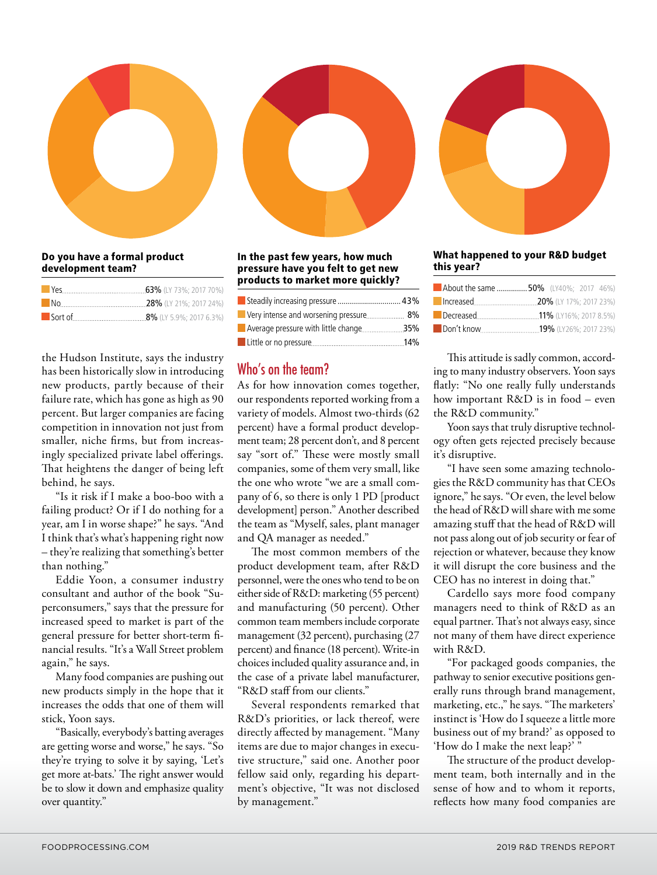

#### bo you have a formal produc<br>development team? Do you have a formal product

| Sort of <u>Communication</u> 8% (LY 5.9%; 2017 6.3%) |
|------------------------------------------------------|

the Hudson Institute, says the industry has been historically slow in introducing new products, partly because of their failure rate, which has gone as high as 90 percent. But larger companies are facing competition in innovation not just from smaller, niche firms, but from increasingly specialized private label offerings. That heightens the danger of being left behind, he says.

"Is it risk if I make a boo-boo with a failing product? Or if I do nothing for a xannig product. Or it it do nothing for a<br>year, am I in worse shape?" he says. "And I think that's what's happening right now - they're realizing that something's better than nothing."

Eddie Yoon, a consumer industry consultant and author of the book "Superconsumers," says that the pressure for increased speed to market is part of the general pressure for better short-term financial results. "It's a Wall Street problem again," he says.

Many food companies are pushing out new products simply in the hope that it increases the odds that one of them will stick, Yoon says.

"Basically, everybody's batting averages are getting worse and worse," he says. "So they're trying to solve it by saying, 'Let's get more at-bats.' The right answer would be to slow it down and emphasize quality over quantity."

#### m the past few years, how mach<br>pressure have you felt to get new low much pressure have you felt to get new<br>much products to market more quickly? In the past few years, how much In the past few years, how  $\theta$ )%)  $\frac{\text{product of matrix}}{\text{aligned}}$

| Steadily increasing pressure  43%      |  |
|----------------------------------------|--|
| Very intense and worsening pressure 8% |  |
|                                        |  |
|                                        |  |

# Who's on the team?

As for how innovation comes together, our respondents reported working from a variety of models. Almost two-thirds (62 percent) have a formal product development team; 28 percent don't, and 8 percent say "sort of." These were mostly small companies, some of them very small, like the one who wrote "we are a small company of 6, so there is only 1 PD [product development] person." Another described the team as "Myself, sales, plant manager and QA manager as needed."

The most common members of the product development team, after R&D personnel, were the ones who tend to be on either side of R&D: marketing (55 percent) and manufacturing (50 percent). Other common team members include corporate management (32 percent), purchasing (27 percent) and finance (18 percent). Write-in choices included quality assurance and, in the case of a private label manufacturer, "R&D staff from our clients."

Several respondents remarked that R&D's priorities, or lack thereof, were directly affected by management. "Many items are due to major changes in execut's tive structure," said one. Another poor ld fellow said only, regarding his department's objective, "It was not disclosed by management."



#### $\cdots$   $\cdots$   $\cdots$   $\cdots$ What happened to your R&D budget<br>\*his yoor?  $\frac{1}{2}$  budget the system of  $\frac{1}{2}$ this year?

| <b>About the same  50%</b> (LY40%: 2017 46%) |  |  |
|----------------------------------------------|--|--|
|                                              |  |  |
|                                              |  |  |
|                                              |  |  |
|                                              |  |  |
|                                              |  |  |
|                                              |  |  |
|                                              |  |  |

This attitude is sadly common, according to many industry observers. Yoon says flatly: "No one really fully understands how important R&D is in food – even the R&D community."

Yoon says that truly disruptive technology often gets rejected precisely because it's disruptive.

"I have seen some amazing technologies the R&D community has that CEOs ignore," he says. "Or even, the level below the head of  $R\&D$  will share with me some amazing stuff that the head of R&D will not pass along out of job security or fear of rejection or whatever, because they know it will disrupt the core business and the CEO has no interest in doing that."

Cardello says more food company managers need to think of R&D as an equal partner. That's not always easy, since not many of them have direct experience with R&D.

"For packaged goods companies, the pathway to senior executive positions generally runs through brand management, marketing, etc.," he says. "The marketers' instinct is 'How do I squeeze a little more business out of my brand?' as opposed to 'How do I make the next leap?'

The structure of the product development team, both internally and in the sense of how and to whom it reports, reflects how many food companies are